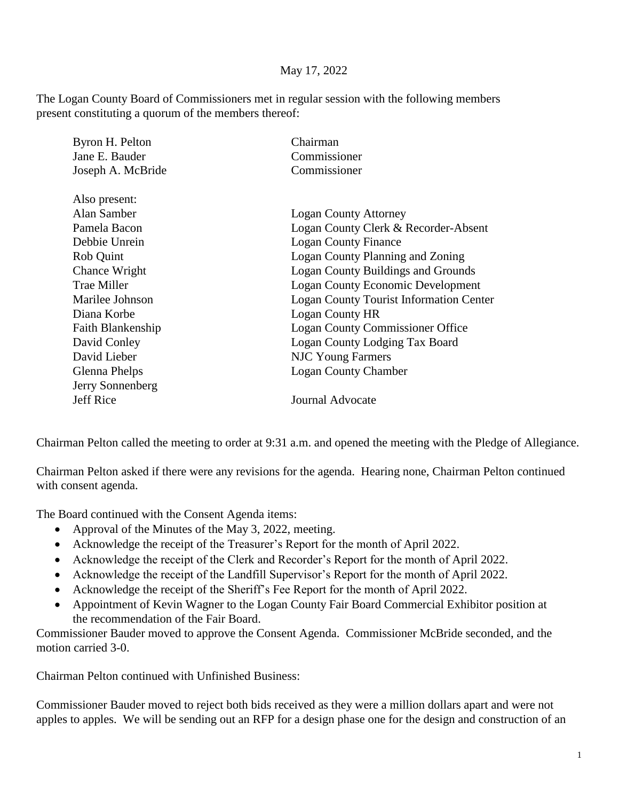## May 17, 2022

The Logan County Board of Commissioners met in regular session with the following members present constituting a quorum of the members thereof:

| Byron H. Pelton    | Chairman                                       |
|--------------------|------------------------------------------------|
| Jane E. Bauder     | Commissioner                                   |
| Joseph A. McBride  | Commissioner                                   |
| Also present:      |                                                |
| Alan Samber        | <b>Logan County Attorney</b>                   |
| Pamela Bacon       | Logan County Clerk & Recorder-Absent           |
| Debbie Unrein      | <b>Logan County Finance</b>                    |
| Rob Quint          | Logan County Planning and Zoning               |
| Chance Wright      | <b>Logan County Buildings and Grounds</b>      |
| <b>Trae Miller</b> | <b>Logan County Economic Development</b>       |
| Marilee Johnson    | <b>Logan County Tourist Information Center</b> |
| Diana Korbe        | Logan County HR                                |
| Faith Blankenship  | <b>Logan County Commissioner Office</b>        |
| David Conley       | Logan County Lodging Tax Board                 |
| David Lieber       | <b>NJC Young Farmers</b>                       |
| Glenna Phelps      | <b>Logan County Chamber</b>                    |
| Jerry Sonnenberg   |                                                |
| <b>Jeff Rice</b>   | <b>Journal Advocate</b>                        |
|                    |                                                |

Chairman Pelton called the meeting to order at 9:31 a.m. and opened the meeting with the Pledge of Allegiance.

Chairman Pelton asked if there were any revisions for the agenda. Hearing none, Chairman Pelton continued with consent agenda.

The Board continued with the Consent Agenda items:

- Approval of the Minutes of the May 3, 2022, meeting.
- Acknowledge the receipt of the Treasurer's Report for the month of April 2022.
- Acknowledge the receipt of the Clerk and Recorder's Report for the month of April 2022.
- Acknowledge the receipt of the Landfill Supervisor's Report for the month of April 2022.
- Acknowledge the receipt of the Sheriff's Fee Report for the month of April 2022.
- Appointment of Kevin Wagner to the Logan County Fair Board Commercial Exhibitor position at the recommendation of the Fair Board.

Commissioner Bauder moved to approve the Consent Agenda. Commissioner McBride seconded, and the motion carried 3-0.

Chairman Pelton continued with Unfinished Business:

Commissioner Bauder moved to reject both bids received as they were a million dollars apart and were not apples to apples. We will be sending out an RFP for a design phase one for the design and construction of an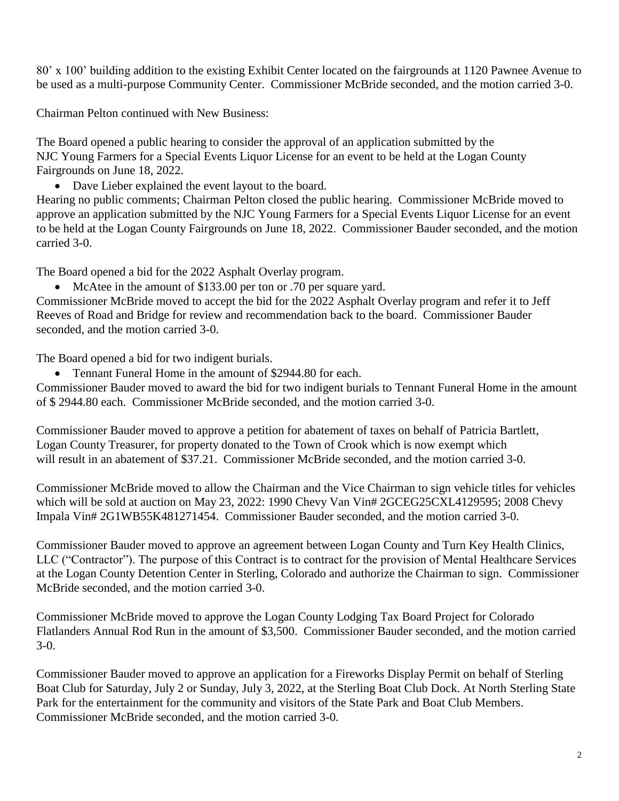80' x 100' building addition to the existing Exhibit Center located on the fairgrounds at 1120 Pawnee Avenue to be used as a multi-purpose Community Center. Commissioner McBride seconded, and the motion carried 3-0.

Chairman Pelton continued with New Business:

The Board opened a public hearing to consider the approval of an application submitted by the NJC Young Farmers for a Special Events Liquor License for an event to be held at the Logan County Fairgrounds on June 18, 2022.

• Dave Lieber explained the event layout to the board.

Hearing no public comments; Chairman Pelton closed the public hearing. Commissioner McBride moved to approve an application submitted by the NJC Young Farmers for a Special Events Liquor License for an event to be held at the Logan County Fairgrounds on June 18, 2022. Commissioner Bauder seconded, and the motion carried 3-0.

The Board opened a bid for the 2022 Asphalt Overlay program.

• McAtee in the amount of \$133.00 per ton or .70 per square yard.

Commissioner McBride moved to accept the bid for the 2022 Asphalt Overlay program and refer it to Jeff Reeves of Road and Bridge for review and recommendation back to the board. Commissioner Bauder seconded, and the motion carried 3-0.

The Board opened a bid for two indigent burials.

• Tennant Funeral Home in the amount of \$2944.80 for each.

Commissioner Bauder moved to award the bid for two indigent burials to Tennant Funeral Home in the amount of \$ 2944.80 each. Commissioner McBride seconded, and the motion carried 3-0.

Commissioner Bauder moved to approve a petition for abatement of taxes on behalf of Patricia Bartlett, Logan County Treasurer, for property donated to the Town of Crook which is now exempt which will result in an abatement of \$37.21. Commissioner McBride seconded, and the motion carried 3-0.

Commissioner McBride moved to allow the Chairman and the Vice Chairman to sign vehicle titles for vehicles which will be sold at auction on May 23, 2022: 1990 Chevy Van Vin# 2GCEG25CXL4129595; 2008 Chevy Impala Vin# 2G1WB55K481271454. Commissioner Bauder seconded, and the motion carried 3-0.

Commissioner Bauder moved to approve an agreement between Logan County and Turn Key Health Clinics, LLC ("Contractor"). The purpose of this Contract is to contract for the provision of Mental Healthcare Services at the Logan County Detention Center in Sterling, Colorado and authorize the Chairman to sign. Commissioner McBride seconded, and the motion carried 3-0.

Commissioner McBride moved to approve the Logan County Lodging Tax Board Project for Colorado Flatlanders Annual Rod Run in the amount of \$3,500. Commissioner Bauder seconded, and the motion carried 3-0.

Commissioner Bauder moved to approve an application for a Fireworks Display Permit on behalf of Sterling Boat Club for Saturday, July 2 or Sunday, July 3, 2022, at the Sterling Boat Club Dock. At North Sterling State Park for the entertainment for the community and visitors of the State Park and Boat Club Members. Commissioner McBride seconded, and the motion carried 3-0.